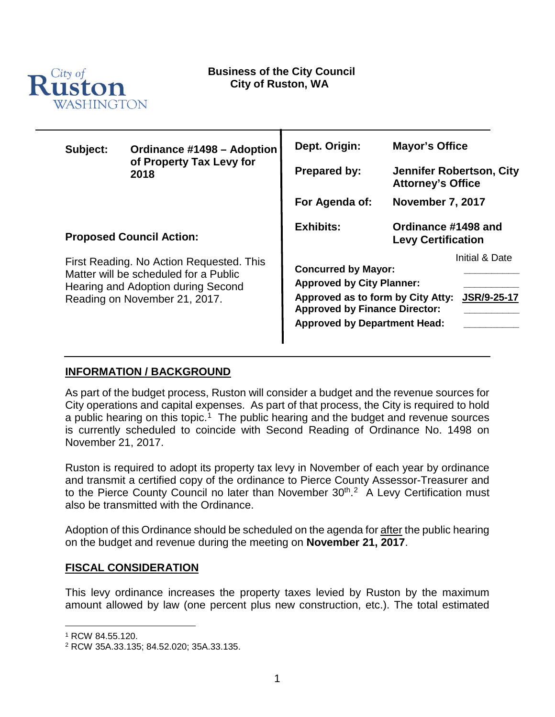

| Subject:                                                                                                                                                 | Ordinance #1498 - Adoption<br>of Property Tax Levy for<br>2018 | Dept. Origin:<br><b>Prepared by:</b>                                                                                                                                               | <b>Mayor's Office</b><br>Jennifer Robertson, City<br><b>Attorney's Office</b><br><b>November 7, 2017</b> |  |
|----------------------------------------------------------------------------------------------------------------------------------------------------------|----------------------------------------------------------------|------------------------------------------------------------------------------------------------------------------------------------------------------------------------------------|----------------------------------------------------------------------------------------------------------|--|
|                                                                                                                                                          |                                                                | For Agenda of:                                                                                                                                                                     |                                                                                                          |  |
| <b>Proposed Council Action:</b>                                                                                                                          |                                                                | <b>Exhibits:</b>                                                                                                                                                                   | Ordinance #1498 and<br><b>Levy Certification</b>                                                         |  |
| First Reading. No Action Requested. This<br>Matter will be scheduled for a Public<br>Hearing and Adoption during Second<br>Reading on November 21, 2017. |                                                                | <b>Concurred by Mayor:</b><br><b>Approved by City Planner:</b><br>Approved as to form by City Atty:<br><b>Approved by Finance Director:</b><br><b>Approved by Department Head:</b> | Initial & Date<br><b>JSR/9-25-17</b>                                                                     |  |

#### **INFORMATION / BACKGROUND**

As part of the budget process, Ruston will consider a budget and the revenue sources for City operations and capital expenses. As part of that process, the City is required to hold a public hearing on this topic.<sup>1</sup> The public hearing and the budget and revenue sources is currently scheduled to coincide with Second Reading of Ordinance No. 1498 on November 21, 2017.

Ruston is required to adopt its property tax levy in November of each year by ordinance and transmit a certified copy of the ordinance to Pierce County Assessor-Treasurer and to the Pierce County Council no later than November  $30<sup>th,2</sup>$  A Levy Certification must also be transmitted with the Ordinance.

Adoption of this Ordinance should be scheduled on the agenda for after the public hearing on the budget and revenue during the meeting on **November 21, 2017**.

#### **FISCAL CONSIDERATION**

This levy ordinance increases the property taxes levied by Ruston by the maximum amount allowed by law (one percent plus new construction, etc.). The total estimated

<span id="page-0-0"></span> <sup>1</sup> RCW 84.55.120.

<span id="page-0-1"></span><sup>2</sup> RCW 35A.33.135; 84.52.020; 35A.33.135.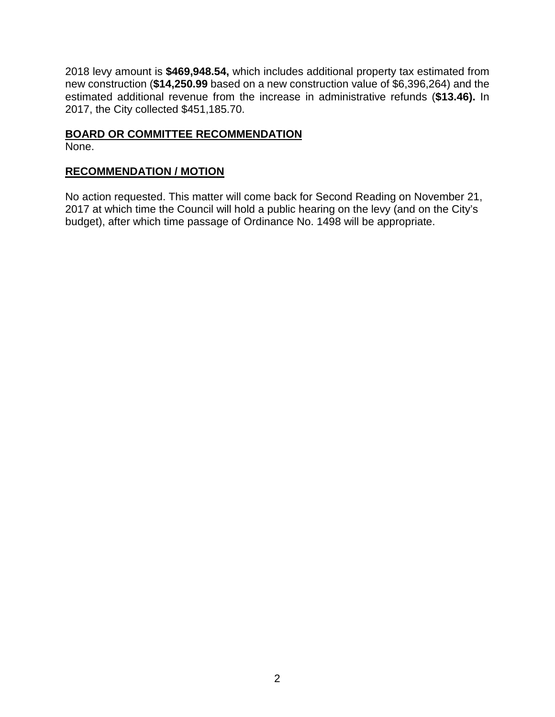2018 levy amount is **\$469,948.54,** which includes additional property tax estimated from new construction (**\$14,250.99** based on a new construction value of \$6,396,264) and the estimated additional revenue from the increase in administrative refunds (**\$13.46).** In 2017, the City collected \$451,185.70.

### **BOARD OR COMMITTEE RECOMMENDATION**

None.

### **RECOMMENDATION / MOTION**

No action requested. This matter will come back for Second Reading on November 21, 2017 at which time the Council will hold a public hearing on the levy (and on the City's budget), after which time passage of Ordinance No. 1498 will be appropriate.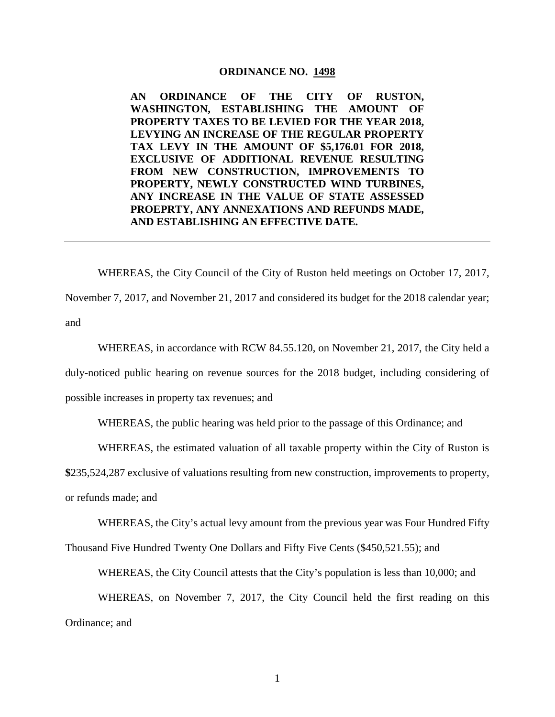#### **ORDINANCE NO. 1498**

**AN ORDINANCE OF THE CITY OF RUSTON, WASHINGTON, ESTABLISHING THE AMOUNT OF PROPERTY TAXES TO BE LEVIED FOR THE YEAR 2018, LEVYING AN INCREASE OF THE REGULAR PROPERTY TAX LEVY IN THE AMOUNT OF \$5,176.01 FOR 2018, EXCLUSIVE OF ADDITIONAL REVENUE RESULTING FROM NEW CONSTRUCTION, IMPROVEMENTS TO PROPERTY, NEWLY CONSTRUCTED WIND TURBINES, ANY INCREASE IN THE VALUE OF STATE ASSESSED PROEPRTY, ANY ANNEXATIONS AND REFUNDS MADE, AND ESTABLISHING AN EFFECTIVE DATE.**

WHEREAS, the City Council of the City of Ruston held meetings on October 17, 2017,

November 7, 2017, and November 21, 2017 and considered its budget for the 2018 calendar year; and

WHEREAS, in accordance with RCW 84.55.120, on November 21, 2017, the City held a duly-noticed public hearing on revenue sources for the 2018 budget, including considering of possible increases in property tax revenues; and

WHEREAS, the public hearing was held prior to the passage of this Ordinance; and

WHEREAS, the estimated valuation of all taxable property within the City of Ruston is

**\$**235,524,287 exclusive of valuations resulting from new construction, improvements to property,

or refunds made; and

WHEREAS, the City's actual levy amount from the previous year was Four Hundred Fifty

Thousand Five Hundred Twenty One Dollars and Fifty Five Cents (\$450,521.55); and

WHEREAS, the City Council attests that the City's population is less than 10,000; and

WHEREAS, on November 7, 2017, the City Council held the first reading on this Ordinance; and

1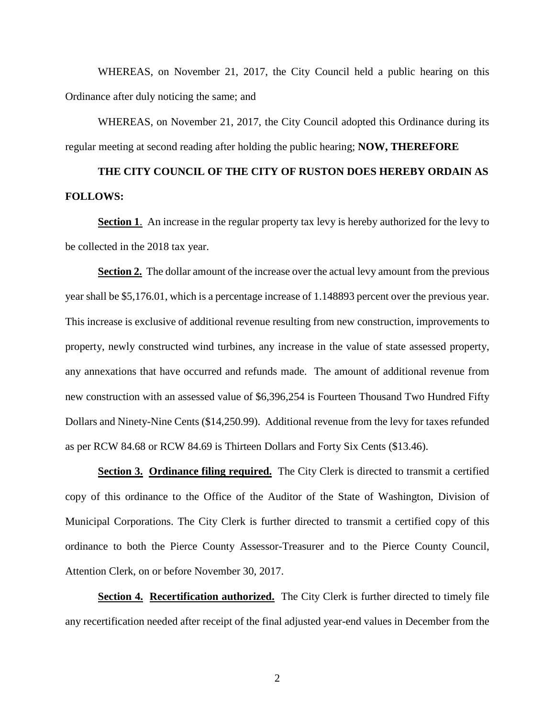WHEREAS, on November 21, 2017, the City Council held a public hearing on this Ordinance after duly noticing the same; and

WHEREAS, on November 21, 2017, the City Council adopted this Ordinance during its regular meeting at second reading after holding the public hearing; **NOW, THEREFORE**

# **THE CITY COUNCIL OF THE CITY OF RUSTON DOES HEREBY ORDAIN AS FOLLOWS:**

**Section 1.** An increase in the regular property tax levy is hereby authorized for the levy to be collected in the 2018 tax year.

**Section 2.** The dollar amount of the increase over the actual levy amount from the previous year shall be \$5,176.01, which is a percentage increase of 1.148893 percent over the previous year. This increase is exclusive of additional revenue resulting from new construction, improvements to property, newly constructed wind turbines, any increase in the value of state assessed property, any annexations that have occurred and refunds made. The amount of additional revenue from new construction with an assessed value of \$6,396,254 is Fourteen Thousand Two Hundred Fifty Dollars and Ninety-Nine Cents (\$14,250.99). Additional revenue from the levy for taxes refunded as per RCW 84.68 or RCW 84.69 is Thirteen Dollars and Forty Six Cents (\$13.46).

**Section 3. Ordinance filing required.** The City Clerk is directed to transmit a certified copy of this ordinance to the Office of the Auditor of the State of Washington, Division of Municipal Corporations. The City Clerk is further directed to transmit a certified copy of this ordinance to both the Pierce County Assessor-Treasurer and to the Pierce County Council, Attention Clerk, on or before November 30, 2017.

**Section 4. Recertification authorized.** The City Clerk is further directed to timely file any recertification needed after receipt of the final adjusted year-end values in December from the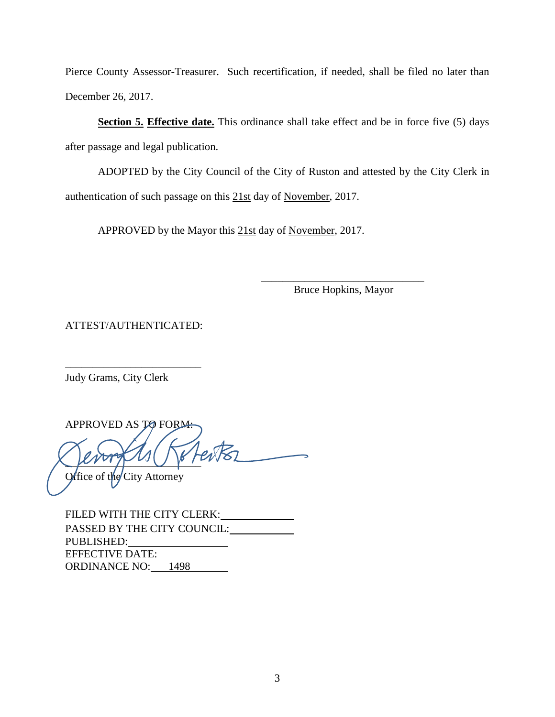Pierce County Assessor-Treasurer. Such recertification, if needed, shall be filed no later than December 26, 2017.

**Section 5. Effective date.** This ordinance shall take effect and be in force five (5) days after passage and legal publication.

ADOPTED by the City Council of the City of Ruston and attested by the City Clerk in authentication of such passage on this 21st day of November, 2017.

APPROVED by the Mayor this 21st day of November, 2017.

\_\_\_\_\_\_\_\_\_\_\_\_\_\_\_\_\_\_\_\_\_\_\_\_\_\_\_\_\_\_ Bruce Hopkins, Mayor

ATTEST/AUTHENTICATED:

\_\_\_\_\_\_\_\_\_\_\_\_\_\_\_\_\_\_\_\_\_\_\_\_\_

Judy Grams, City Clerk

APPROVED AS TO FORM:  $\mu$ Office of the City Attorney

FILED WITH THE CITY CLERK: PASSED BY THE CITY COUNCIL: PUBLISHED: EFFECTIVE DATE: ORDINANCE NO: 1498